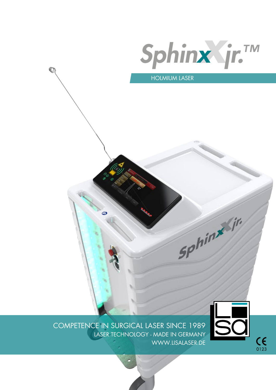

SP<sup>hin</sup>

HOLMIUM LASER

 $\circledcirc$ 

COMPETENCE IN SURGICAL LASER SINCE 1989 LASER TECHNOLOGY - MADE IN GERMANY WWW.LISALASER.DE



 $C_{0123}$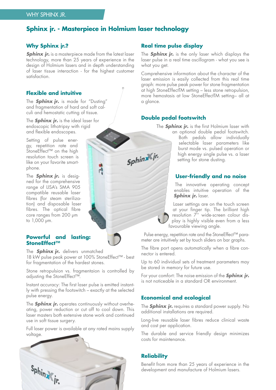## **Sphinx jr. - Masterpiece in Holmium laser technology**

Ā

#### **Why Sphinx jr.?**

**Sphinx ir.** is a masterpiece made from the latest laser technology, more than 25 years of experience in the design of Holmium lasers and in depth understanding of laser tissue interaction - for the highest customer satisfaction.

#### **Flexible and intuitive**

The **Sphinx jr.** is made for "Dusting" and fragmentation of hard and soft calculi and hemostatic cutting of tissue.

The **Sphinx jr.** is the ideal laser for endoscopic lithotripsy with rigid and flexible endoscopes.

Setting of pulse energy, repetition rate and StoneEffect™ on the high resolution touch screen is like on your favorite smartphone.

The **Sphinx jr.** is designed for the comprehensive range of LISA's SMA 905 compatible reusable laser fibres (for steam sterilization) and disposable laser fibres. The optical fibre core ranges from 200 µm to 1,000 µm.

#### **Powerful and lasting: StoneEffect™**

The **Sphinx jr.** delivers unmatched 18 kW pulse peak power at 100% StoneEffect™ - best for fragmentation of the hardest stones.

Stone retropulsion vs. fragmentaion is controlled by adjusting the StoneEffect™.

Instant accuracy: The first laser pulse is emitted instantly with pressing the footswitch – exactly at the selected pulse energy.

The **Sphinx jr.** operates continuously without overheating, power reduction or cut off to cool down. This laser masters both extensive stone work and continued use in soft tissue surgery.

Full laser power is available at any rated mains supply voltage.



#### **Real time pulse display**

The **Sphinx jr.** is the only laser which displays the laser pulse in a real time oscillogram - what you see is what you get.

Comprehensive information about the character of the laser emission is easily collected from this real time graph: more pulse peak power for stone fragmentation at high StoneEffectTM setting – less stone retropulsion, more hemostasis at low StoneEffectTM setting– all at a glance.

#### **Double pedal footswitch**

Sphinx<sup>x</sup>ir.

The **Sphinx jr.** is the first Holmium laser with an optional double pedal footswitch.

Both pedals allow individually selectable laser parameters like burst mode vs. pulsed operation or high energy single pulse vs. a laser setting for stone dusting.

#### **User-friendly and no noise**

The innovative operating concept enables intuitive operation of the **Sphinx jr.** laser.

Laser settings are on the touch screen at your finger tip. The brilliant high resolution 7'' wide-screen colour display is highly visible even from a less favourable viewing angle.

Pulse energy, repetition rate and the StoneEffect™ parameter are intuitively set by touch sliders on bar graphs.

The fibre port opens automatically when a fibre connector is entered.

Up to 60 individual sets of treatment parameters may be stored in memory for future use.

For your comfort: The noise emission of the **Sphinx jr.** is not noticeable in a standard OR environment.

#### **Economical and ecological**

The **Sphinx jr.** requires a standard power supply. No additional installations are required.

Long-live reusable laser fibres reduce clinical waste and cost per application.

The durable and service friendly design minimizes costs for maintenance.

#### **Reliability**

Benefit from more than 25 years of experience in the development and manufacture of Holmium lasers.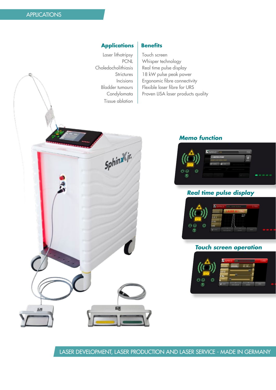E5

#### **Applications Benefits**

Laser lithotripsy | Touch screen Tissue ablation

Sphinx<sup>x</sup>jr.

PCNL Whisper technology Choledocholithiasis | Real time pulse display Strictures | 18 kW pulse peak power Incisions | Ergonomic fibre connectivity Bladder tumours | Flexible laser fibre for URS Condylomata | Proven LISA laser products quality

#### **Memo function**



### **Real time pulse display**



#### **Touch screen operation**



LASER DEVELOPMENT, LASER PRODUCTION AND LASER SERVICE - MADE IN GERMANY